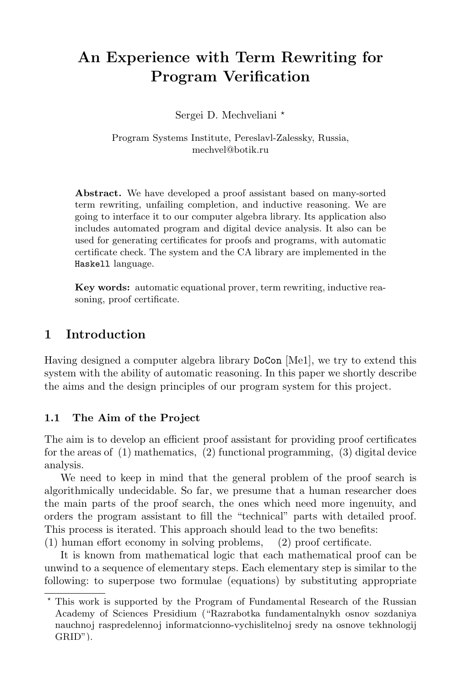# An Experience with Term Rewriting for Program Verification

Sergei D. Mechveliani<sup>\*</sup>

Program Systems Institute, Pereslavl-Zalessky, Russia, mechvel@botik.ru

Abstract. We have developed a proof assistant based on many-sorted term rewriting, unfailing completion, and inductive reasoning. We are going to interface it to our computer algebra library. Its application also includes automated program and digital device analysis. It also can be used for generating certificates for proofs and programs, with automatic certificate check. The system and the CA library are implemented in the Haskell language.

Key words: automatic equational prover, term rewriting, inductive reasoning, proof certificate.

### 1 Introduction

Having designed a computer algebra library DoCon [Me1], we try to extend this system with the ability of automatic reasoning. In this paper we shortly describe the aims and the design principles of our program system for this project.

#### 1.1 The Aim of the Project

The aim is to develop an efficient proof assistant for providing proof certificates for the areas of (1) mathematics, (2) functional programming, (3) digital device analysis.

We need to keep in mind that the general problem of the proof search is algorithmically undecidable. So far, we presume that a human researcher does the main parts of the proof search, the ones which need more ingenuity, and orders the program assistant to fill the "technical" parts with detailed proof. This process is iterated. This approach should lead to the two benefits:

(1) human effort economy in solving problems, (2) proof certificate.

It is known from mathematical logic that each mathematical proof can be unwind to a sequence of elementary steps. Each elementary step is similar to the following: to superpose two formulae (equations) by substituting appropriate

<sup>?</sup> This work is supported by the Program of Fundamental Research of the Russian Academy of Sciences Presidium ("Razrabotka fundamentalnykh osnov sozdaniya nauchnoj raspredelennoj informatcionno-vychislitelnoj sredy na osnove tekhnologij GRID").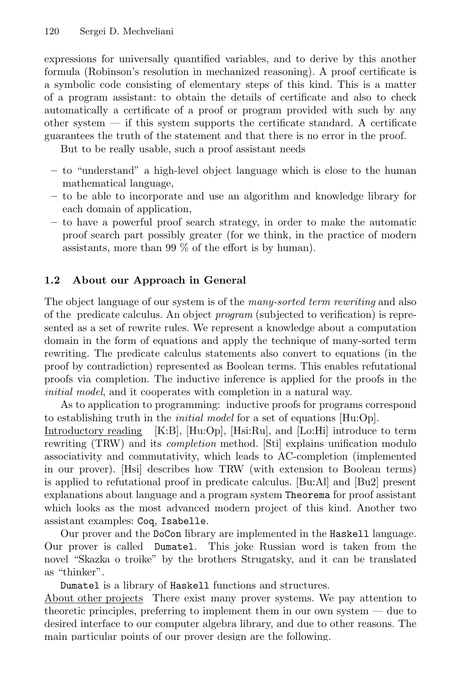expressions for universally quantified variables, and to derive by this another formula (Robinson's resolution in mechanized reasoning). A proof certificate is a symbolic code consisting of elementary steps of this kind. This is a matter of a program assistant: to obtain the details of certificate and also to check automatically a certificate of a proof or program provided with such by any other system — if this system supports the certificate standard. A certificate guarantees the truth of the statement and that there is no error in the proof.

But to be really usable, such a proof assistant needs

- to "understand" a high-level object language which is close to the human mathematical language,
- to be able to incorporate and use an algorithm and knowledge library for each domain of application,
- to have a powerful proof search strategy, in order to make the automatic proof search part possibly greater (for we think, in the practice of modern assistants, more than 99 % of the effort is by human).

#### 1.2 About our Approach in General

The object language of our system is of the many-sorted term rewriting and also of the predicate calculus. An object program (subjected to verification) is represented as a set of rewrite rules. We represent a knowledge about a computation domain in the form of equations and apply the technique of many-sorted term rewriting. The predicate calculus statements also convert to equations (in the proof by contradiction) represented as Boolean terms. This enables refutational proofs via completion. The inductive inference is applied for the proofs in the initial model, and it cooperates with completion in a natural way.

As to application to programming: inductive proofs for programs correspond to establishing truth in the *initial model* for a set of equations [Hu:Op].

Introductory reading [K:B], [Hu:Op], [Hsi:Ru], and [Lo:Hi] introduce to term rewriting (TRW) and its *completion* method. [Sti] explains unification modulo associativity and commutativity, which leads to AC-completion (implemented in our prover). [Hsi] describes how TRW (with extension to Boolean terms) is applied to refutational proof in predicate calculus. [Bu:Al] and [Bu2] present explanations about language and a program system Theorema for proof assistant which looks as the most advanced modern project of this kind. Another two assistant examples: Coq, Isabelle.

Our prover and the DoCon library are implemented in the Haskell language. Our prover is called Dumatel. This joke Russian word is taken from the novel "Skazka o troike" by the brothers Strugatsky, and it can be translated as "thinker".

Dumatel is a library of Haskell functions and structures.

About other projects There exist many prover systems. We pay attention to theoretic principles, preferring to implement them in our own system — due to desired interface to our computer algebra library, and due to other reasons. The main particular points of our prover design are the following.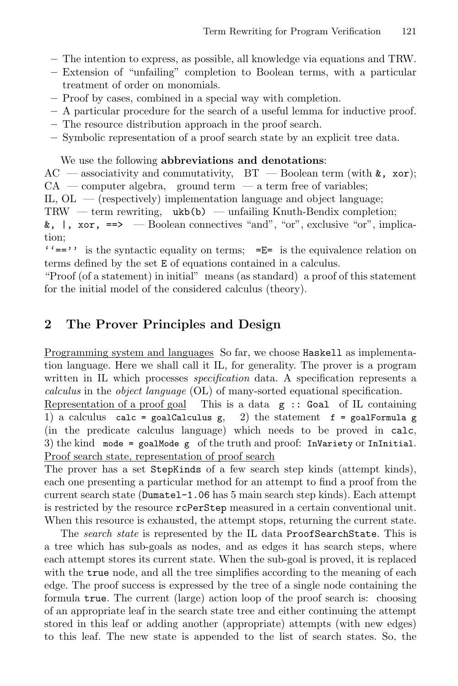- The intention to express, as possible, all knowledge via equations and TRW.
- Extension of "unfailing" completion to Boolean terms, with a particular treatment of order on monomials.
- Proof by cases, combined in a special way with completion.
- A particular procedure for the search of a useful lemma for inductive proof.
- The resource distribution approach in the proof search.
- Symbolic representation of a proof search state by an explicit tree data.

#### We use the following abbreviations and denotations:

 $AC$  — associativity and commutativity,  $BT$  — Boolean term (with  $k$ , xor);  $CA$  — computer algebra, ground term — a term free of variables;

IL,  $OL$  — (respectively) implementation language and object language;

TRW — term rewriting,  $ukb(b)$  — unfailing Knuth-Bendix completion;

 $k, \perp$ , xor,  $\Rightarrow$  — Boolean connectives "and", "or", exclusive "or", implication;

 $'$  =='' is the syntactic equality on terms; = $E=$  is the equivalence relation on terms defined by the set E of equations contained in a calculus.

"Proof (of a statement) in initial" means (as standard) a proof of this statement for the initial model of the considered calculus (theory).

### 2 The Prover Principles and Design

Programming system and languages So far, we choose Haskell as implementation language. Here we shall call it IL, for generality. The prover is a program written in IL which processes *specification* data. A specification represents a calculus in the object language (OL) of many-sorted equational specification.

Representation of a proof goal This is a data  $g$ : Goal of IL containing 1) a calculus calc = goalCalculus g, 2) the statement  $f = \text{goalFormula g}$ (in the predicate calculus language) which needs to be proved in calc, 3) the kind mode = goalMode g of the truth and proof: InVariety or InInitial. Proof search state, representation of proof search

The prover has a set StepKinds of a few search step kinds (attempt kinds), each one presenting a particular method for an attempt to find a proof from the current search state (Dumatel-1.06 has 5 main search step kinds). Each attempt is restricted by the resource rcPerStep measured in a certain conventional unit. When this resource is exhausted, the attempt stops, returning the current state.

The search state is represented by the IL data ProofSearchState. This is a tree which has sub-goals as nodes, and as edges it has search steps, where each attempt stores its current state. When the sub-goal is proved, it is replaced with the true node, and all the tree simplifies according to the meaning of each edge. The proof success is expressed by the tree of a single node containing the formula true. The current (large) action loop of the proof search is: choosing of an appropriate leaf in the search state tree and either continuing the attempt stored in this leaf or adding another (appropriate) attempts (with new edges) to this leaf. The new state is appended to the list of search states. So, the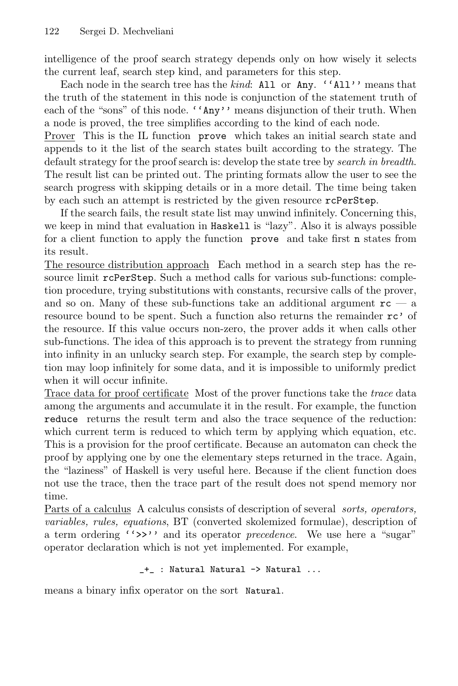intelligence of the proof search strategy depends only on how wisely it selects the current leaf, search step kind, and parameters for this step.

Each node in the search tree has the kind: All or Any. 'All'' means that the truth of the statement in this node is conjunction of the statement truth of each of the "sons" of this node. ''Any'' means disjunction of their truth. When a node is proved, the tree simplifies according to the kind of each node.

Prover This is the IL function prove which takes an initial search state and appends to it the list of the search states built according to the strategy. The default strategy for the proof search is: develop the state tree by search in breadth. The result list can be printed out. The printing formats allow the user to see the search progress with skipping details or in a more detail. The time being taken by each such an attempt is restricted by the given resource rcPerStep.

If the search fails, the result state list may unwind infinitely. Concerning this, we keep in mind that evaluation in Haskell is "lazy". Also it is always possible for a client function to apply the function prove and take first n states from its result.

The resource distribution approach Each method in a search step has the resource limit rcPerStep. Such a method calls for various sub-functions: completion procedure, trying substitutions with constants, recursive calls of the prover, and so on. Many of these sub-functions take an additional argument  $rc - a$ resource bound to be spent. Such a function also returns the remainder rc' of the resource. If this value occurs non-zero, the prover adds it when calls other sub-functions. The idea of this approach is to prevent the strategy from running into infinity in an unlucky search step. For example, the search step by completion may loop infinitely for some data, and it is impossible to uniformly predict when it will occur infinite.

Trace data for proof certificate Most of the prover functions take the trace data among the arguments and accumulate it in the result. For example, the function reduce returns the result term and also the trace sequence of the reduction: which current term is reduced to which term by applying which equation, etc. This is a provision for the proof certificate. Because an automaton can check the proof by applying one by one the elementary steps returned in the trace. Again, the "laziness" of Haskell is very useful here. Because if the client function does not use the trace, then the trace part of the result does not spend memory nor time.

Parts of a calculus A calculus consists of description of several sorts, operators, variables, rules, equations, BT (converted skolemized formulae), description of a term ordering ">>" and its operator *precedence*. We use here a "sugar" operator declaration which is not yet implemented. For example,

```
_+_ : Natural Natural -> Natural ...
```
means a binary infix operator on the sort Natural.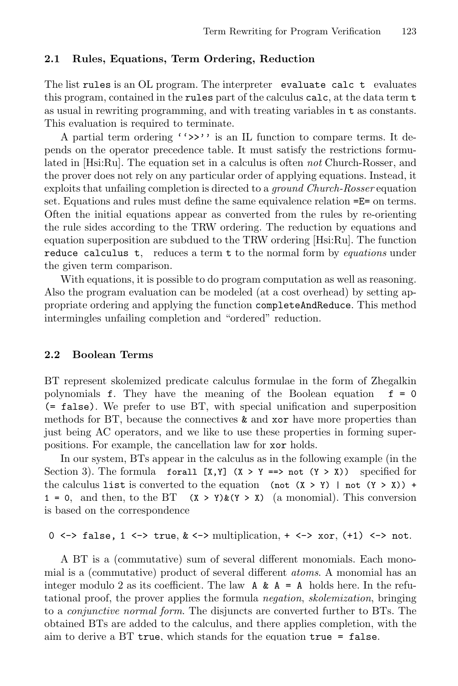#### 2.1 Rules, Equations, Term Ordering, Reduction

The list rules is an OL program. The interpreter evaluate calc t evaluates this program, contained in the rules part of the calculus calc, at the data term t as usual in rewriting programming, and with treating variables in t as constants. This evaluation is required to terminate.

A partial term ordering  $(3)$  's an IL function to compare terms. It depends on the operator precedence table. It must satisfy the restrictions formulated in  $[Hsi:Ru]$ . The equation set in a calculus is often *not* Church-Rosser, and the prover does not rely on any particular order of applying equations. Instead, it exploits that unfailing completion is directed to a ground Church-Rosser equation set. Equations and rules must define the same equivalence relation = $E=$  on terms. Often the initial equations appear as converted from the rules by re-orienting the rule sides according to the TRW ordering. The reduction by equations and equation superposition are subdued to the TRW ordering [Hsi:Ru]. The function reduce calculus t, reduces a term t to the normal form by *equations* under the given term comparison.

With equations, it is possible to do program computation as well as reasoning. Also the program evaluation can be modeled (at a cost overhead) by setting appropriate ordering and applying the function completeAndReduce. This method intermingles unfailing completion and "ordered" reduction.

#### 2.2 Boolean Terms

BT represent skolemized predicate calculus formulae in the form of Zhegalkin polynomials **f**. They have the meaning of the Boolean equation  $f = 0$ (= false). We prefer to use BT, with special unification and superposition methods for BT, because the connectives & and xor have more properties than just being AC operators, and we like to use these properties in forming superpositions. For example, the cancellation law for xor holds.

In our system, BTs appear in the calculus as in the following example (in the Section 3). The formula for all  $[X, Y]$   $(X > Y ==)$  not  $(Y > X)$  specified for the calculus list is converted to the equation (not  $(X > Y)$  | not  $(Y > X)$ ) + 1 = 0, and then, to the BT  $(X > Y)$   $(X > X)$  (a monomial). This conversion is based on the correspondence

0 <-> false, 1 <-> true,  $k \leq$  > multiplication, + <-> xor, (+1) <-> not.

A BT is a (commutative) sum of several different monomials. Each monomial is a (commutative) product of several different atoms. A monomial has an integer modulo 2 as its coefficient. The law  $A \& A = A$  holds here. In the refutational proof, the prover applies the formula negation, skolemization, bringing to a conjunctive normal form. The disjuncts are converted further to BTs. The obtained BTs are added to the calculus, and there applies completion, with the aim to derive a  $BT$  true, which stands for the equation true  $=$  false.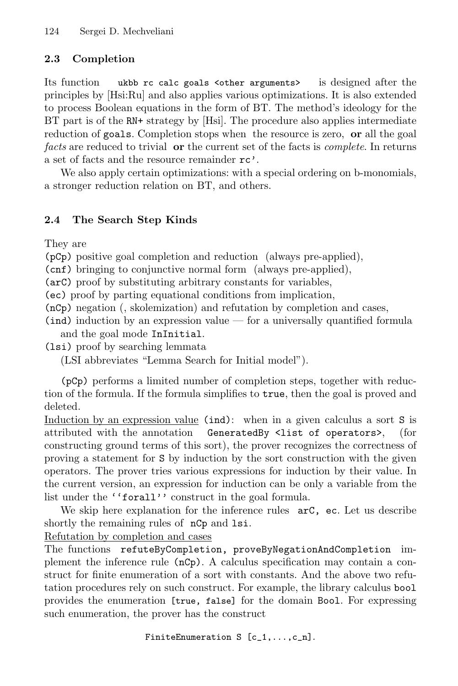### 2.3 Completion

Its function ukbb rc calc goals <other arguments> is designed after the principles by [Hsi:Ru] and also applies various optimizations. It is also extended to process Boolean equations in the form of BT. The method's ideology for the BT part is of the RN+ strategy by [Hsi]. The procedure also applies intermediate reduction of goals. Completion stops when the resource is zero, or all the goal facts are reduced to trivial **or** the current set of the facts is *complete*. In returns a set of facts and the resource remainder rc'.

We also apply certain optimizations: with a special ordering on b-monomials, a stronger reduction relation on BT, and others.

### 2.4 The Search Step Kinds

They are

(pCp) positive goal completion and reduction (always pre-applied),

(cnf) bringing to conjunctive normal form (always pre-applied),

(arC) proof by substituting arbitrary constants for variables,

(ec) proof by parting equational conditions from implication,

(nCp) negation (, skolemization) and refutation by completion and cases,

 $(ind)$  induction by an expression value — for a universally quantified formula and the goal mode InInitial.

(lsi) proof by searching lemmata

(LSI abbreviates "Lemma Search for Initial model").

(pCp) performs a limited number of completion steps, together with reduction of the formula. If the formula simplifies to true, then the goal is proved and deleted.

Induction by an expression value (ind): when in a given calculus a sort S is attributed with the annotation GeneratedBy <list of operators>, (for constructing ground terms of this sort), the prover recognizes the correctness of proving a statement for S by induction by the sort construction with the given operators. The prover tries various expressions for induction by their value. In the current version, an expression for induction can be only a variable from the list under the "forall" construct in the goal formula.

We skip here explanation for the inference rules  $arc$ , ec. Let us describe shortly the remaining rules of  $nCp$  and lsi.

Refutation by completion and cases

The functions refuteByCompletion, proveByNegationAndCompletion implement the inference rule (nCp). A calculus specification may contain a construct for finite enumeration of a sort with constants. And the above two refutation procedures rely on such construct. For example, the library calculus bool provides the enumeration [true, false] for the domain Bool. For expressing such enumeration, the prover has the construct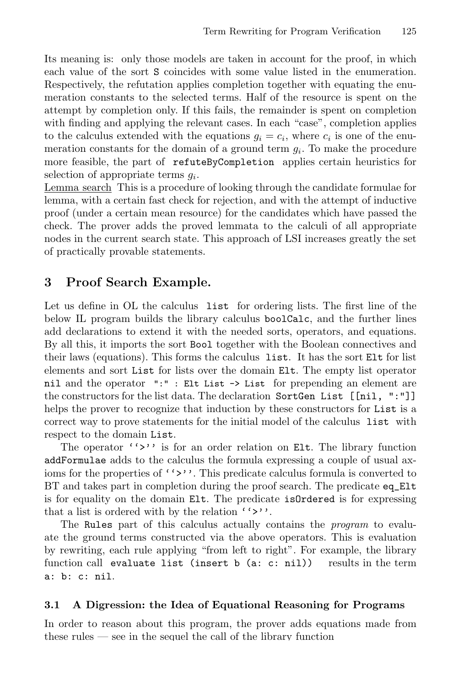Its meaning is: only those models are taken in account for the proof, in which each value of the sort S coincides with some value listed in the enumeration. Respectively, the refutation applies completion together with equating the enumeration constants to the selected terms. Half of the resource is spent on the attempt by completion only. If this fails, the remainder is spent on completion with finding and applying the relevant cases. In each "case", completion applies to the calculus extended with the equations  $g_i = c_i$ , where  $c_i$  is one of the enumeration constants for the domain of a ground term  $g_i$ . To make the procedure more feasible, the part of refuteByCompletion applies certain heuristics for selection of appropriate terms  $g_i$ .

Lemma search This is a procedure of looking through the candidate formulae for lemma, with a certain fast check for rejection, and with the attempt of inductive proof (under a certain mean resource) for the candidates which have passed the check. The prover adds the proved lemmata to the calculi of all appropriate nodes in the current search state. This approach of LSI increases greatly the set of practically provable statements.

### 3 Proof Search Example.

Let us define in OL the calculus list for ordering lists. The first line of the below IL program builds the library calculus boolCalc, and the further lines add declarations to extend it with the needed sorts, operators, and equations. By all this, it imports the sort Bool together with the Boolean connectives and their laws (equations). This forms the calculus list. It has the sort Elt for list elements and sort List for lists over the domain Elt. The empty list operator nil and the operator ":" : Elt List -> List for prepending an element are the constructors for the list data. The declaration SortGen List [[nil, ":"]] helps the prover to recognize that induction by these constructors for **List** is a correct way to prove statements for the initial model of the calculus list with respect to the domain List.

The operator ''>'' is for an order relation on Elt. The library function addFormulae adds to the calculus the formula expressing a couple of usual axioms for the properties of  $\langle \cdot \rangle$ . This predicate calculus formula is converted to BT and takes part in completion during the proof search. The predicate eq\_Elt is for equality on the domain Elt. The predicate isOrdered is for expressing that a list is ordered with by the relation  $'>'>'$ .

The Rules part of this calculus actually contains the *program* to evaluate the ground terms constructed via the above operators. This is evaluation by rewriting, each rule applying "from left to right". For example, the library function call evaluate list (insert b (a: c: nil)) results in the term a: b: c: nil.

#### 3.1 A Digression: the Idea of Equational Reasoning for Programs

In order to reason about this program, the prover adds equations made from these rules  $\frac{1}{1}$  see in the sequel the call of the library function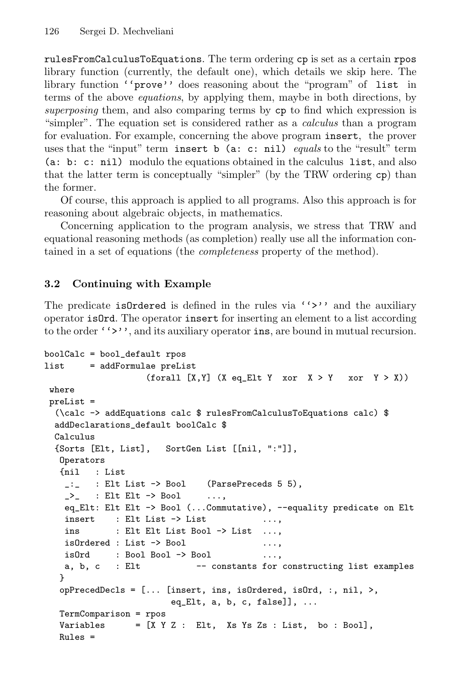rulesFromCalculusToEquations. The term ordering cp is set as a certain rpos library function (currently, the default one), which details we skip here. The library function ''prove'' does reasoning about the "program" of list in terms of the above equations, by applying them, maybe in both directions, by superposing them, and also comparing terms by cp to find which expression is "simpler". The equation set is considered rather as a calculus than a program for evaluation. For example, concerning the above program insert, the prover uses that the "input" term insert b (a: c: nil) equals to the "result" term (a: b: c: nil) modulo the equations obtained in the calculus list, and also that the latter term is conceptually "simpler" (by the TRW ordering cp) than the former.

Of course, this approach is applied to all programs. Also this approach is for reasoning about algebraic objects, in mathematics.

Concerning application to the program analysis, we stress that TRW and equational reasoning methods (as completion) really use all the information contained in a set of equations (the completeness property of the method).

### 3.2 Continuing with Example

The predicate isOrdered is defined in the rules via  $(5)$  and the auxiliary operator isOrd. The operator insert for inserting an element to a list according to the order  $(3)$ , and its auxiliary operator ins, are bound in mutual recursion.

```
boolCalc = bool_default rpos
list = addFormulae preList
                  (forall [X, Y] (X eq_Elt Y xor X > Y xor Y > X))
 where
 preList =
  (\calc -> addEquations calc $ rulesFromCalculusToEquations calc) $
 addDeclarations_default boolCalc $
 Calculus
 {Sorts [Elt, List], SortGen List [[nil, ":"]],
  Operators
  {nil : List
   _:_ : Elt List -> Bool (ParsePreceds 5 5),
   \geq : Elt Elt \rightarrow Bool \dots,
   eq_Elt: Elt Elt -> Bool (...Commutative), --equality predicate on Elt
   insert : Elt List -> List ...,
   ins : Elt Elt List Bool -> List ...,
   isOrdered : List -> Bool ...,
   isOrd : Bool Bool -> Bool ...,
   a, b, c : Elt -- constants for constructing list examples
  }
  opPrecedDecls = [... [insert, ins, isOrdered, isOrd, :, nil, >,
                       eq_Elt, a, b, c, false]], ...
  TermComparison = rpos
  Variables = [X Y Z : EIt, Xs Ys Zs : List, bo : Bool],Rules =
```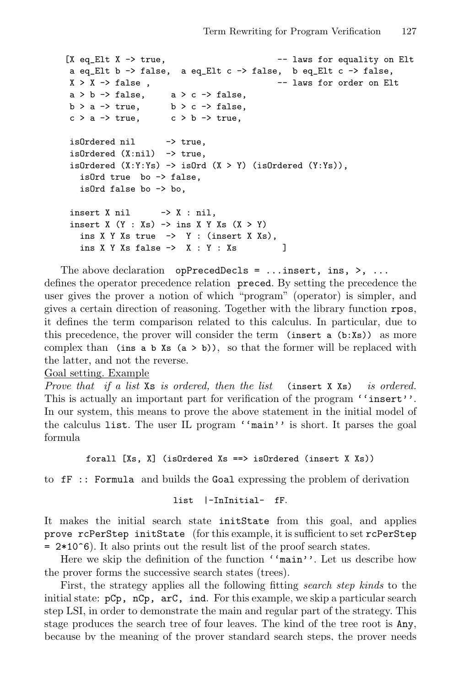```
[X \text{ eq\_ELt } X \rightarrow \text{ true}, -- laws for equality on Elt
a eq_Elt b \rightarrow false, a eq_Elt c \rightarrow false, b eq_Elt c \rightarrow false,
X > X \rightarrow false, - laws for order on Elt
a > b \rightarrow false, a > c \rightarrow false,
b > a \rightarrow true, b > c \rightarrow false,c > a \rightarrow true, c > b \rightarrow true,isOrdered nil -> true,
isOrdered (X:nil) -> true,
isOrdered (X:Y:Ys) \rightarrow isOrd (X > Y) (isOrdered (Y:Ys)),
   isOrd true bo -> false,
   isOrd false bo -> bo,
insert X nil \rightarrow X : nil,
insert X (Y : Xs) \rightarrow ins X Y Xs (X > Y)ins X Y Xs true \rightarrow Y : (insert X Xs),
   ins X Y Xs false \rightarrow X : Y : Xs ]
```
The above declaration opPrecedDecls = ...insert, ins, >, ... defines the operator precedence relation preced. By setting the precedence the user gives the prover a notion of which "program" (operator) is simpler, and gives a certain direction of reasoning. Together with the library function rpos, it defines the term comparison related to this calculus. In particular, due to this precedence, the prover will consider the term (insert  $a$  (b:Xs)) as more complex than (ins a b  $x_s$  (a > b)), so that the former will be replaced with the latter, and not the reverse.

Goal setting. Example

Prove that if a list Xs is ordered, then the list (insert X Xs) is ordered. This is actually an important part for verification of the program  $'$  insert''. In our system, this means to prove the above statement in the initial model of the calculus list. The user IL program ''main'' is short. It parses the goal formula

```
forall [Xs, X] (isOrdered Xs ==> isOrdered (insert X Xs))
```
to fF :: Formula and builds the Goal expressing the problem of derivation

```
list |-InInitial- fF.
```
It makes the initial search state initState from this goal, and applies prove rcPerStep initState (for this example, it is sufficient to set rcPerStep  $= 2*10°6$ . It also prints out the result list of the proof search states.

Here we skip the definition of the function ''main''. Let us describe how the prover forms the successive search states (trees).

First, the strategy applies all the following fitting search step kinds to the initial state: pCp, nCp, arC, ind. For this example, we skip a particular search step LSI, in order to demonstrate the main and regular part of the strategy. This stage produces the search tree of four leaves. The kind of the tree root is Any, because by the meaning of the prover standard search steps, the prover needs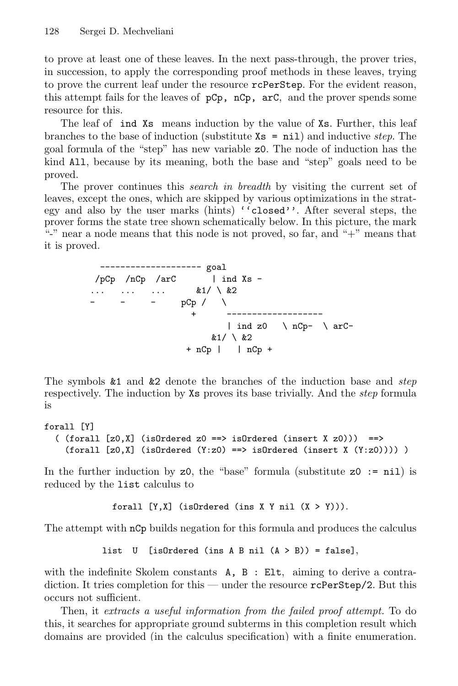to prove at least one of these leaves. In the next pass-through, the prover tries, in succession, to apply the corresponding proof methods in these leaves, trying to prove the current leaf under the resource rcPerStep. For the evident reason, this attempt fails for the leaves of  $pCp$ ,  $nCp$ ,  $arC$ , and the prover spends some resource for this.

The leaf of ind Xs means induction by the value of Xs. Further, this leaf branches to the base of induction (substitute  $\mathbf{x} = \texttt{nil}$ ) and inductive step. The goal formula of the "step" has new variable z0. The node of induction has the kind All, because by its meaning, both the base and "step" goals need to be proved.

The prover continues this *search in breadth* by visiting the current set of leaves, except the ones, which are skipped by various optimizations in the strategy and also by the user marks (hints) ''closed''. After several steps, the prover forms the state tree shown schematically below. In this picture, the mark "-" near a node means that this node is not proved, so far, and " $+$ " means that it is proved.

> ------------------- goal  $/pCp$  /nCp /arC | ind Xs - $\ldots$   $\ldots$   $\&1/\ \&2$  $-$  - pCp /  $\setminus$  $+$  -----| ind z0  $\leq$   $nCp arC-$ &1/ \ &2  $+ nCp$  |  $nCp +$

The symbols &1 and &2 denote the branches of the induction base and step respectively. The induction by Xs proves its base trivially. And the step formula is

### forall [Y]

```
( (foral1 [z0,X] (isOrdered z0 ==) isOrdered (insert X z0))) ==>
  (foral [z0,X] (isOrdered (Y:z0) ==> isOrdered (insert X (Y:z0))))
```
In the further induction by  $z_0$ , the "base" formula (substitute  $z_0 := \text{nil}$ ) is reduced by the list calculus to

```
forall [Y,X] (isOrdered (ins X Y nil (X > Y))).
```
The attempt with nCp builds negation for this formula and produces the calculus

```
list U [isOrdered (ins A B nil (A > B)) = false],
```
with the indefinite Skolem constants  $A$ ,  $B$  : Elt, aiming to derive a contradiction. It tries completion for this — under the resource rcPerStep/2. But this occurs not sufficient.

Then, it extracts a useful information from the failed proof attempt. To do this, it searches for appropriate ground subterms in this completion result which domains are provided (in the calculus specification) with a finite enumeration.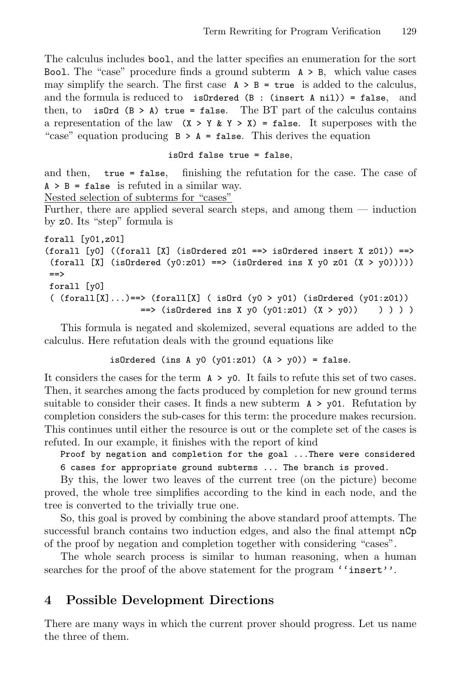The calculus includes bool, and the latter specifies an enumeration for the sort Bool. The "case" procedure finds a ground subterm  $A > B$ , which value cases may simplify the search. The first case  $A > B = true$  is added to the calculus, and the formula is reduced to isOrdered (B : (insert A nil)) = false, and then, to isOrd  $(B > A)$  true = false. The BT part of the calculus contains a representation of the law  $(X > Y & X > X) =$  false. It superposes with the "case" equation producing  $B > A = false$ . This derives the equation

#### isOrd false true = false,

and then, true = false, finishing the refutation for the case. The case of  $A > B = false$  is refuted in a similar way.

Nested selection of subterms for "cases"

Further, there are applied several search steps, and among them — induction by z0. Its "step" formula is

```
forall [y01,z01]
(forall [v0] ((forall [X] (isOrdered z01 ==> isOrdered insert X z01)) ==>
 (forall [X] (isOrdered (y0:z01) ==> (isOrdered ins X y0 z01 (X > y0)))))
==forall [y0]
 ( (foral1[X]...)=\n (forall[X] ( isOrd (y0 > y01) (isOrdered (y01:z01))
                   \Rightarrow (isOrdered ins X y0 (y01:z01) (X > y0)) ) ) )
```
This formula is negated and skolemized, several equations are added to the calculus. Here refutation deals with the ground equations like

isOrdered (ins A y0 (y01:z01)  $(A > y0)$ ) = false.

It considers the cases for the term A > y0. It fails to refute this set of two cases. Then, it searches among the facts produced by completion for new ground terms suitable to consider their cases. It finds a new subterm  $A > y01$ . Refutation by completion considers the sub-cases for this term: the procedure makes recursion. This continues until either the resource is out or the complete set of the cases is refuted. In our example, it finishes with the report of kind

Proof by negation and completion for the goal ...There were considered 6 cases for appropriate ground subterms ... The branch is proved.

By this, the lower two leaves of the current tree (on the picture) become proved, the whole tree simplifies according to the kind in each node, and the tree is converted to the trivially true one.

So, this goal is proved by combining the above standard proof attempts. The successful branch contains two induction edges, and also the final attempt  $nCp$ of the proof by negation and completion together with considering "cases".

The whole search process is similar to human reasoning, when a human searches for the proof of the above statement for the program ''insert''.

### 4 Possible Development Directions

There are many ways in which the current prover should progress. Let us name the three of them.